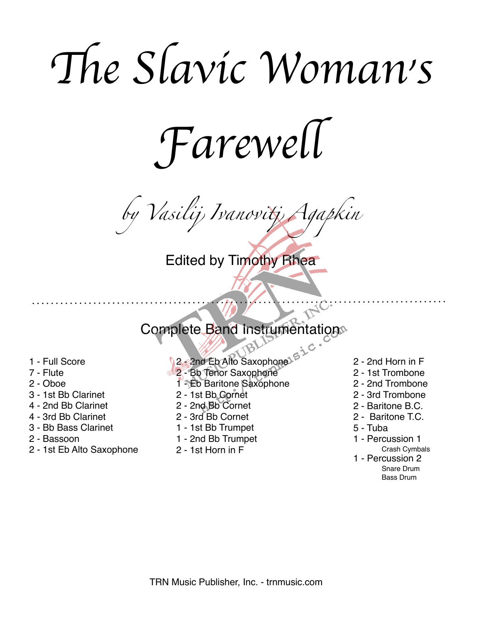# T*e Slavic Woman's*

F*arewe*l

*by Vasilij Ivanovitj Agapkin*

## Edited by Timothy Rhea

## Complete Band Instrumentation

- 1 Full Score
- 7 Flute
- 2 Oboe
- 3 1st Bb Clarinet
- 4 2nd Bb Clarinet
- 4 3rd Bb Clarinet
- 3 Bb Bass Clarinet
- 2 Bassoon
- 2 1st Eb Alto Saxophone
- 2 2nd Eb Alto Saxophone
- 2 Bb Tenor Saxophone
- 1 Eb Baritone Saxophone
- 2 1st Bb Cornet
- 2 2nd Bb Cornet
- 2 3rd Bb Cornet
- 1 1st Bb Trumpet
- 1 2nd Bb Trumpet
- 2 1st Horn in F
- 2 2nd Horn in F
- 2 1st Trombone
- 2 2nd Trombone
- 2 3rd Trombone
- 2 Baritone B.C.
- 2 Baritone T.C.
- 5 Tuba
- 1 Percussion 1 Crash Cymbals
- 1 Percussion 2 Snare Drum Bass Drum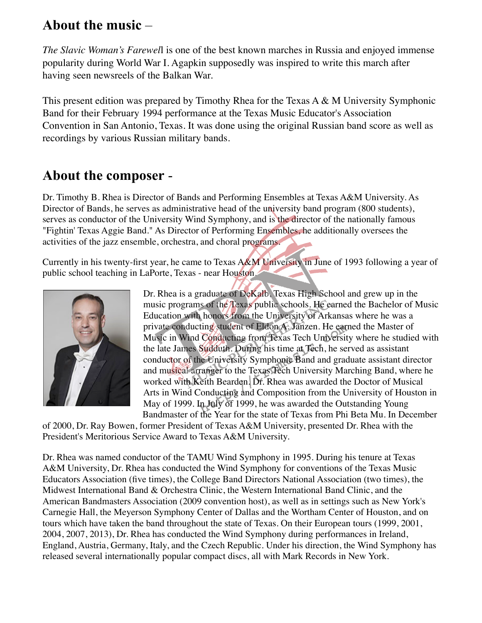## **About the music** –

*The Slavic Woman's Farewel*l is one of the best known marches in Russia and enjoyed immense popularity during World War I. Agapkin supposedly was inspired to write this march after having seen newsreels of the Balkan War.

This present edition was prepared by Timothy Rhea for the Texas A & M University Symphonic Band for their February 1994 performance at the Texas Music Educator's Association Convention in San Antonio, Texas. It was done using the original Russian band score as well as recordings by various Russian military bands.

#### **About the composer** -

Dr. Timothy B. Rhea is Director of Bands and Performing Ensembles at Texas A&M University. As Director of Bands, he serves as administrative head of the university band program (800 students), serves as conductor of the University Wind Symphony, and is the director of the nationally famous "Fightin' Texas Aggie Band." As Director of Performing Ensembles, he additionally oversees the activities of the jazz ensemble, orchestra, and choral programs.

Currently in his twenty-first year, he came to Texas A&M University in June of 1993 following a year of public school teaching in LaPorte, Texas - near Houston.



Dr. Rhea is a graduate of DeKalb, Texas High School and grew up in the music programs of the Texas public schools. He earned the Bachelor of Music Education with honors from the University of Arkansas where he was a private conducting student of Eldon A. Janzen. He earned the Master of Music in Wind Conducting from Texas Tech University where he studied with the late James Sudduth. During his time at Tech, he served as assistant conductor of the University Symphonic Band and graduate assistant director and musical arranger to the Texas Tech University Marching Band, where he worked with Keith Bearden. Dr. Rhea was awarded the Doctor of Musical Arts in Wind Conducting and Composition from the University of Houston in May of 1999. In July of 1999, he was awarded the Outstanding Young Bandmaster of the Year for the state of Texas from Phi Beta Mu. In December

of 2000, Dr. Ray Bowen, former President of Texas A&M University, presented Dr. Rhea with the President's Meritorious Service Award to Texas A&M University.

Dr. Rhea was named conductor of the TAMU Wind Symphony in 1995. During his tenure at Texas A&M University, Dr. Rhea has conducted the Wind Symphony for conventions of the Texas Music Educators Association (five times), the College Band Directors National Association (two times), the Midwest International Band & Orchestra Clinic, the Western International Band Clinic, and the American Bandmasters Association (2009 convention host), as well as in settings such as New York's Carnegie Hall, the Meyerson Symphony Center of Dallas and the Wortham Center of Houston, and on tours which have taken the band throughout the state of Texas. On their European tours (1999, 2001, 2004, 2007, 2013), Dr. Rhea has conducted the Wind Symphony during performances in Ireland, England, Austria, Germany, Italy, and the Czech Republic. Under his direction, the Wind Symphony has released several internationally popular compact discs, all with Mark Records in New York.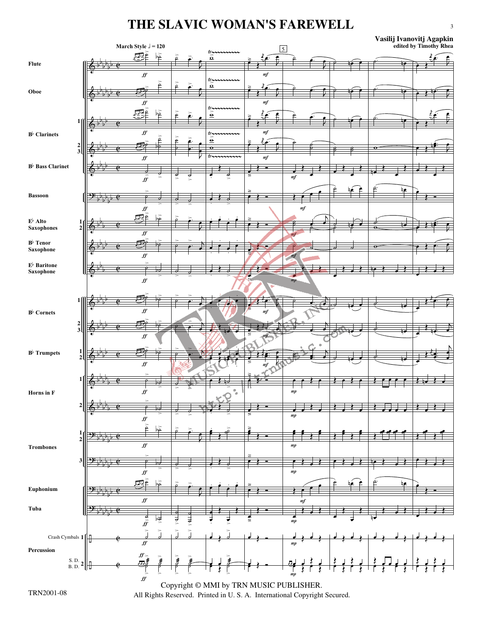### **THE SLAVIC WOMAN'S FAREWELL**

|                                              |                                                            |         |                                                 | March Style $J = 120$ |         |                                                      |                                    |               |   |                                             |                                         |               |                                        | $\overline{5}$                   |          |  |   |          |                         |             | Vasilij Ivanovitj Agapkin<br>edited by Timothy Rhea |  |
|----------------------------------------------|------------------------------------------------------------|---------|-------------------------------------------------|-----------------------|---------|------------------------------------------------------|------------------------------------|---------------|---|---------------------------------------------|-----------------------------------------|---------------|----------------------------------------|----------------------------------|----------|--|---|----------|-------------------------|-------------|-----------------------------------------------------|--|
|                                              |                                                            |         |                                                 |                       | 虛產      |                                                      | $b_{\mathcal{P}}$                  |               |   | $t_{\sim}$<br>$\tilde{\mathbf{o}}$          |                                         | ≥             |                                        |                                  |          |  |   |          |                         |             |                                                     |  |
| Flute                                        |                                                            |         |                                                 |                       |         |                                                      |                                    |               |   |                                             |                                         |               |                                        |                                  |          |  |   |          |                         |             |                                                     |  |
| Oboe                                         |                                                            |         |                                                 |                       | ملين    | $f\!\!f$                                             | ρ                                  | $\mathcal{O}$ |   | trumm<br>$\bar{\mathbf{a}}$                 |                                         |               | $m\!f$                                 |                                  |          |  |   |          |                         |             |                                                     |  |
|                                              |                                                            |         |                                                 |                       | 興       | $f\!f$                                               | $\flat_{\underline{\mathsf{P}}}^-$ | 色             |   | tr<br>$\underline{\bullet}$                 |                                         |               | $\it mf$                               |                                  |          |  |   |          |                         |             |                                                     |  |
| $\mathbf{B}^\flat$ Clarinets                 | $1\vert$                                                   |         |                                                 |                       |         | $f\!f$                                               |                                    |               |   | $tr_{\mathbf{A}}$                           | nun                                     |               | m f                                    |                                  |          |  |   |          |                         |             |                                                     |  |
|                                              | 3                                                          |         |                                                 |                       | ্চি     | $f\hspace{-0.1cm}f$                                  |                                    |               |   | $\underline{\bullet}$<br>$\mathbf{a}$<br>tr |                                         | $\geq$        | m f                                    |                                  |          |  |   |          | $\overline{\mathbf{u}}$ |             |                                                     |  |
| $B^{\flat}$ Bass Clarinet                    |                                                            |         |                                                 |                       |         | $\frac{1}{2}$                                        |                                    | ट्            | ₫ |                                             |                                         |               |                                        | m f                              |          |  |   |          |                         |             |                                                     |  |
| <b>Bassoon</b>                               |                                                            | $2 + p$ | +,                                              |                       |         |                                                      |                                    |               |   |                                             |                                         | 2             |                                        |                                  |          |  | e | ∙<br>۹e. | $\boldsymbol{\rho}$ .   | h۴          |                                                     |  |
| $\mathbf{E}^\flat$ Alto<br><b>Saxophones</b> | 1<br>$\overline{2}$                                        |         |                                                 |                       | 显       | f f<br>$\overline{f}$                                | $b\widetilde{\widetilde{\rho}}$    |               |   |                                             |                                         |               |                                        | mf                               | $\it mf$ |  |   |          | $\bullet$               | ≂           |                                                     |  |
| $B^{\flat}$ Tenor<br>Saxophone               |                                                            |         |                                                 |                       | مِٰ⊞َبَ | f f                                                  |                                    |               |   |                                             |                                         |               |                                        | $\overline{m}$                   |          |  |   |          | œ                       |             |                                                     |  |
| $\mathbf{E}^\flat$ Baritone<br>Saxophone     |                                                            |         |                                                 |                       |         |                                                      |                                    |               |   |                                             |                                         |               |                                        |                                  |          |  |   |          |                         |             |                                                     |  |
|                                              |                                                            |         |                                                 |                       |         | $f\hspace{-0.1cm}f$                                  |                                    |               |   |                                             |                                         |               |                                        | $m\rho$                          |          |  |   |          |                         |             |                                                     |  |
| $B^{\flat}$ Cornets                          | $1\vert$                                                   |         |                                                 |                       | J.      |                                                      |                                    |               |   |                                             |                                         |               |                                        |                                  |          |  |   |          |                         |             |                                                     |  |
|                                              | 2                                                          |         |                                                 |                       | ⊕       | $f\hspace{-0.1cm}f$                                  |                                    |               |   |                                             |                                         |               | m f                                    |                                  |          |  |   |          |                         |             |                                                     |  |
|                                              | 3                                                          |         |                                                 |                       |         | $f\hspace{-0.1cm}f$                                  |                                    |               |   |                                             |                                         |               |                                        |                                  |          |  |   |          |                         |             |                                                     |  |
| $\mathbf{B}^\flat$ Trumpets                  | 1<br>$\overline{2}$                                        |         |                                                 |                       | مِلْتَة | $f\hspace{-0.1cm}f$                                  |                                    |               |   |                                             |                                         |               | mf                                     |                                  |          |  |   |          |                         |             |                                                     |  |
| Horns in F                                   | 1                                                          |         |                                                 |                       |         | $f\!f$                                               | Þø                                 |               |   |                                             | $\overline{\phantom{a}}_{\phantom{a}0}$ | $\geq$        |                                        | $\emph{mp}$                      |          |  |   |          |                         |             |                                                     |  |
|                                              | $\overline{2}$                                             |         |                                                 |                       |         | $f\!f$                                               | 76                                 |               |   |                                             |                                         | ₹             |                                        | $\boldsymbol{m}$                 |          |  |   |          |                         |             |                                                     |  |
| <b>Trombones</b>                             | 1<br>$\overline{2}$                                        |         |                                                 |                       |         | $\frac{1}{2}$<br>$f\hspace{-0.1cm}f\hspace{-0.1cm}f$ | <u>bp</u>                          |               |   |                                             |                                         | $\simeq$<br>£ |                                        | m p                              |          |  |   |          |                         |             |                                                     |  |
|                                              | $\mathbf{3}$                                               |         | $\mathbf{\mathcal{F}}$ , $\mathbf{\mathcal{F}}$ |                       |         | O                                                    | Þσ                                 |               |   |                                             |                                         | z             |                                        |                                  |          |  |   |          |                         |             |                                                     |  |
|                                              |                                                            |         |                                                 |                       | 起产      | f f                                                  | $b\tilde{e}$                       |               |   |                                             |                                         |               |                                        | $\emph{mp}$                      |          |  | ₽ | ₽<br>٩e  |                         | $h_{\rm c}$ |                                                     |  |
| Euphonium                                    |                                                            |         | $\frac{1}{2}$                                   |                       |         | $f\!f$                                               |                                    |               |   |                                             |                                         |               |                                        |                                  | $\it mf$ |  |   |          |                         |             | ж.                                                  |  |
| Tuba                                         |                                                            |         |                                                 |                       |         |                                                      | は                                  | $\exists$     |   |                                             |                                         |               |                                        |                                  |          |  |   |          |                         |             |                                                     |  |
|                                              |                                                            |         |                                                 |                       |         | $\overrightarrow{f}$<br>$\geq$                       | $\geq$                             |               | ₫ |                                             |                                         |               |                                        | $\boldsymbol{m}{\boldsymbol{p}}$ |          |  |   |          |                         |             |                                                     |  |
| Crash Cymbals $1$<br>Percussion              |                                                            |         |                                                 |                       |         | f f                                                  |                                    |               |   |                                             |                                         |               |                                        | mp                               |          |  |   |          |                         |             |                                                     |  |
|                                              | $\left\{ \begin{matrix} S.D. \ B.D. \end{matrix} \right\}$ |         |                                                 |                       |         | $\frac{f f}{\frac{1}{2}}$<br>$f\!\!f$                | $\check{\mathbf{r}}$               |               |   |                                             |                                         |               |                                        | mp                               |          |  |   |          |                         |             |                                                     |  |
|                                              |                                                            |         |                                                 |                       |         |                                                      |                                    |               |   |                                             |                                         |               | Convright © MMI by TRN MHSIC PHRLISHER |                                  |          |  |   |          |                         |             |                                                     |  |

TRN2001-08

 Copyright © MMI by TRN MUSIC PUBLISHER. All Rights Reserved. Printed in U. S. A. International Copyright Secured.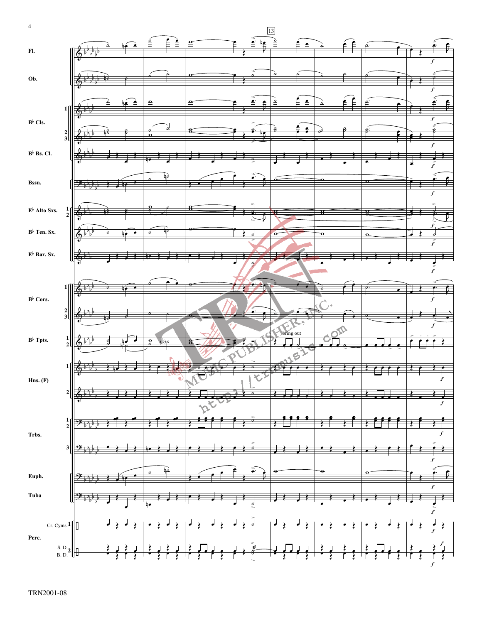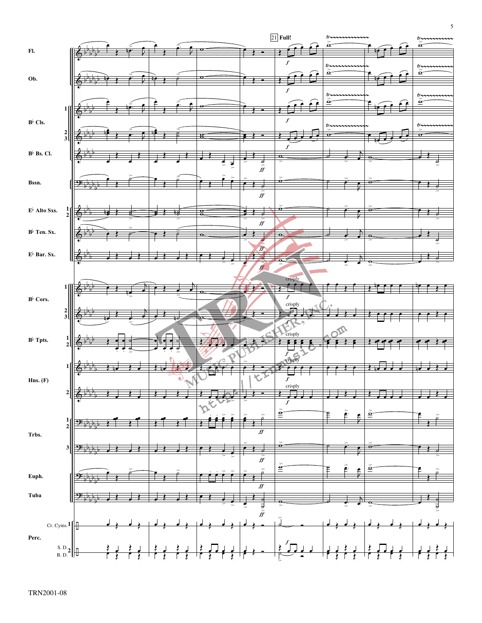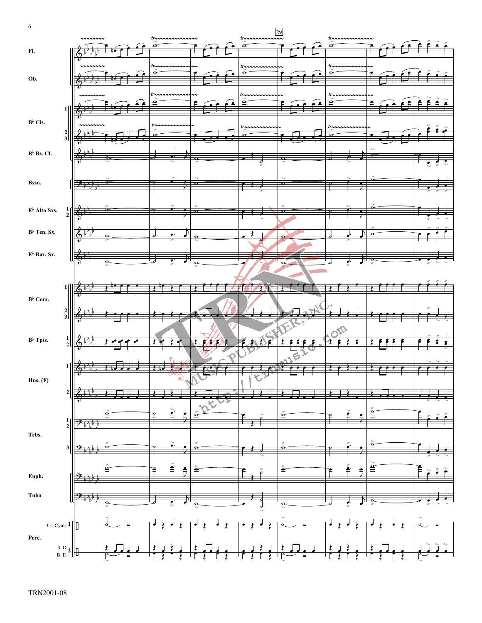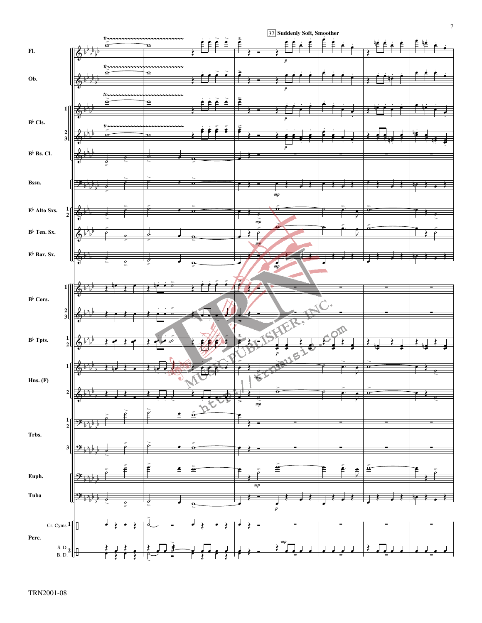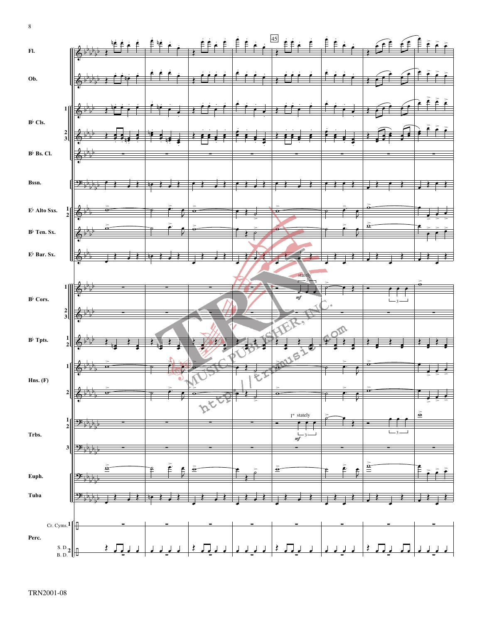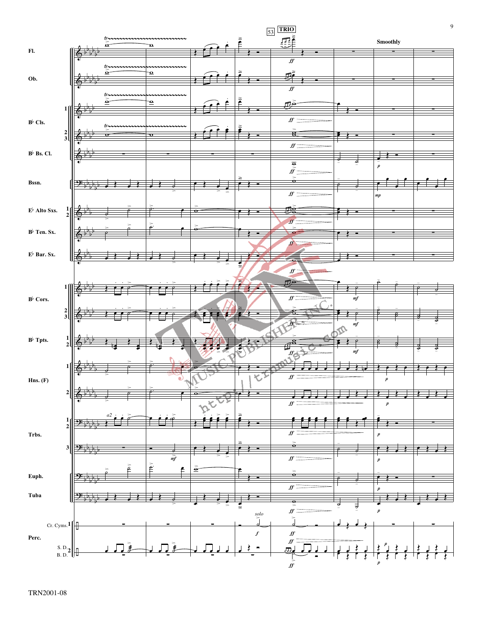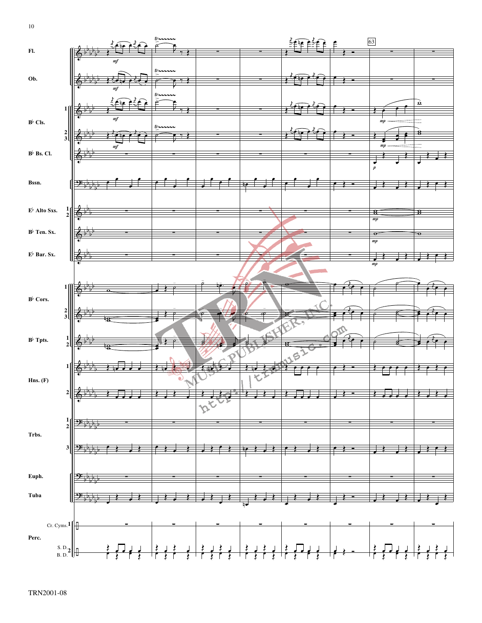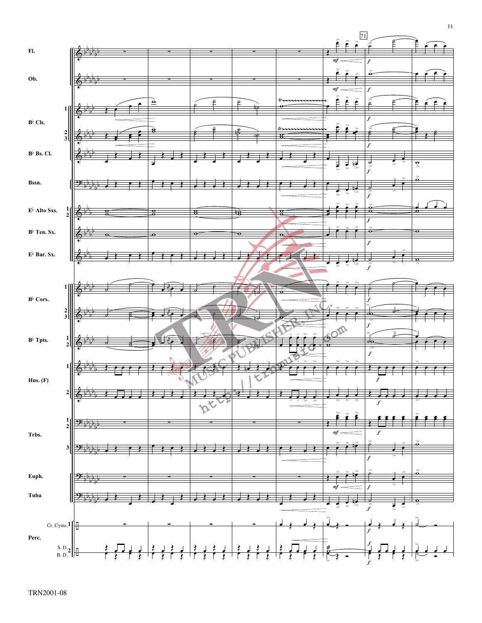

11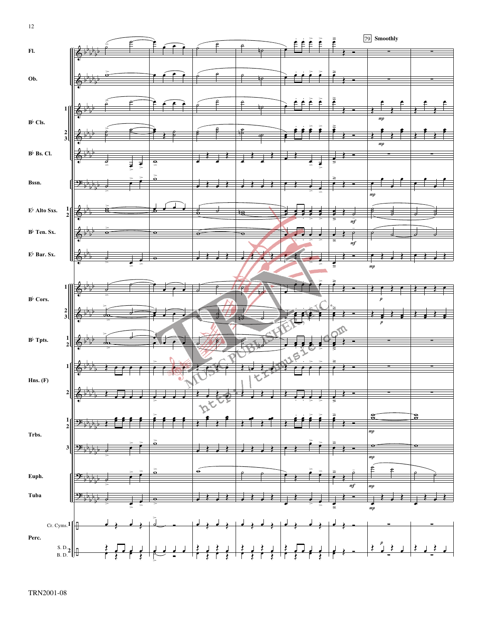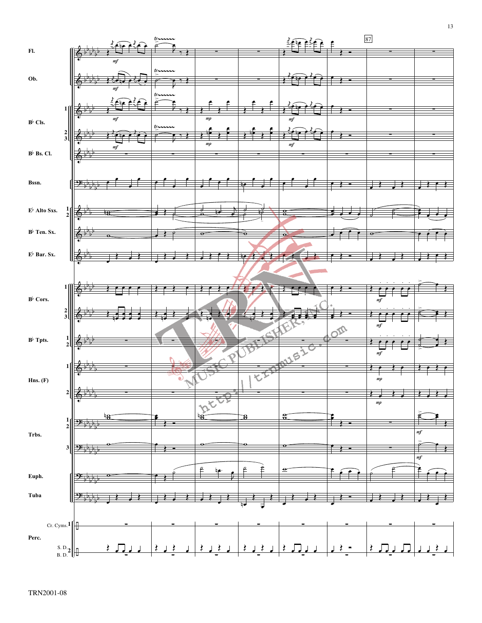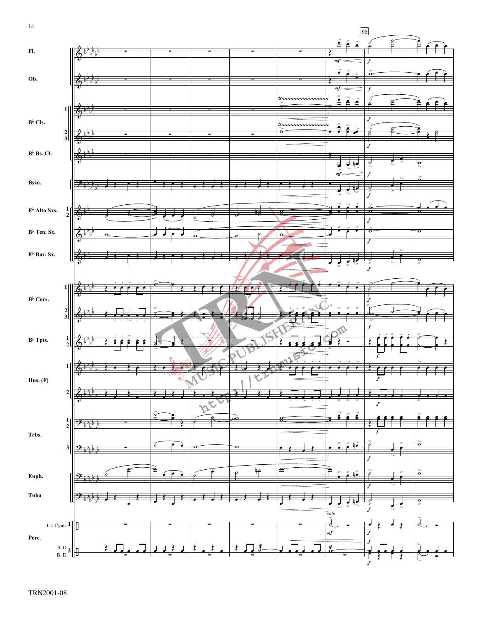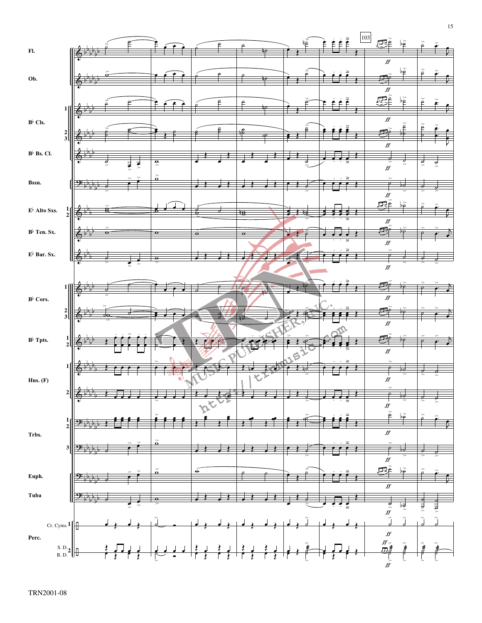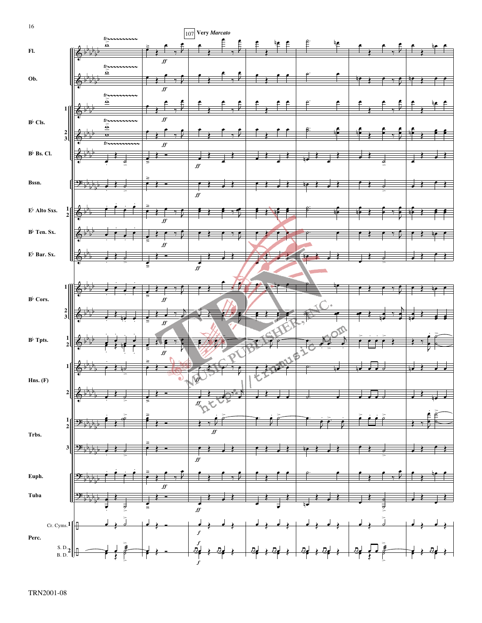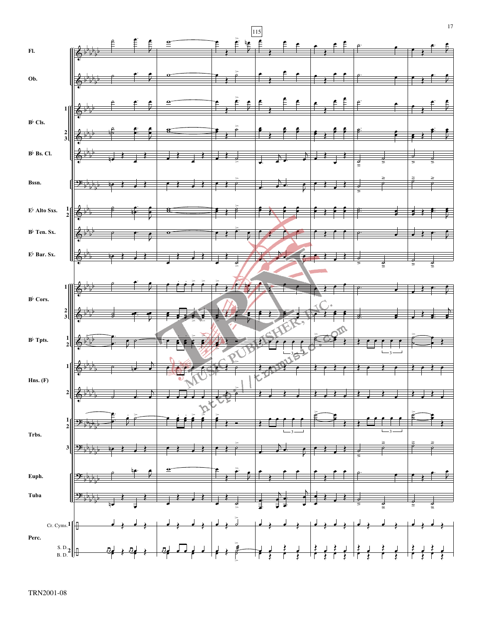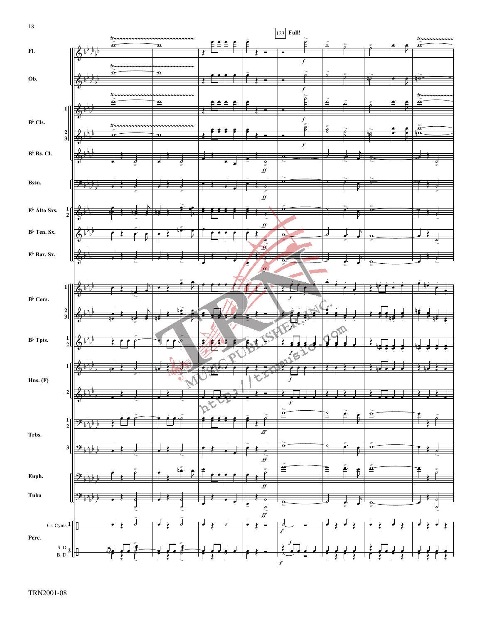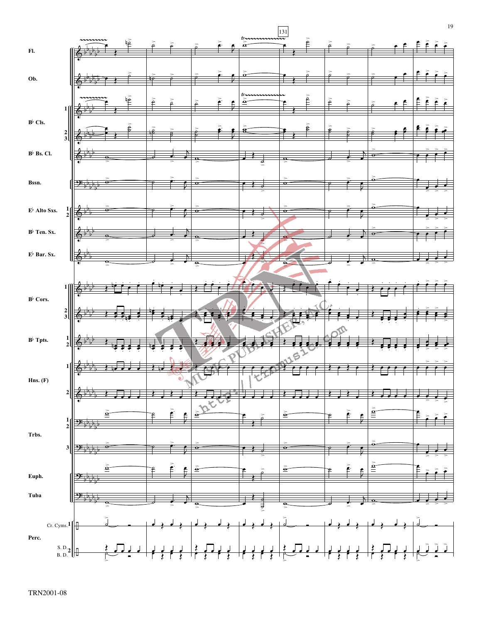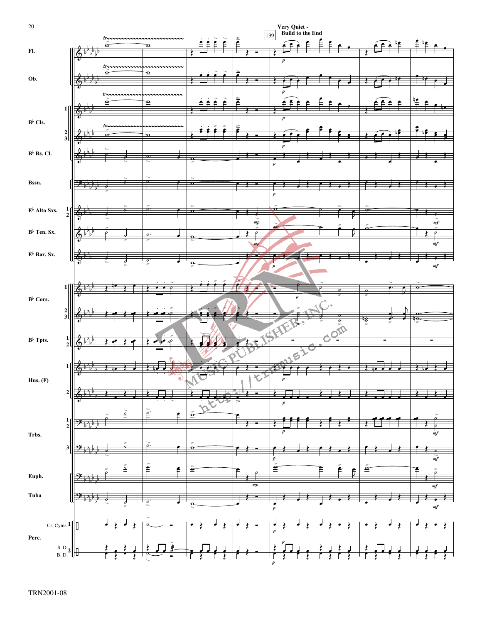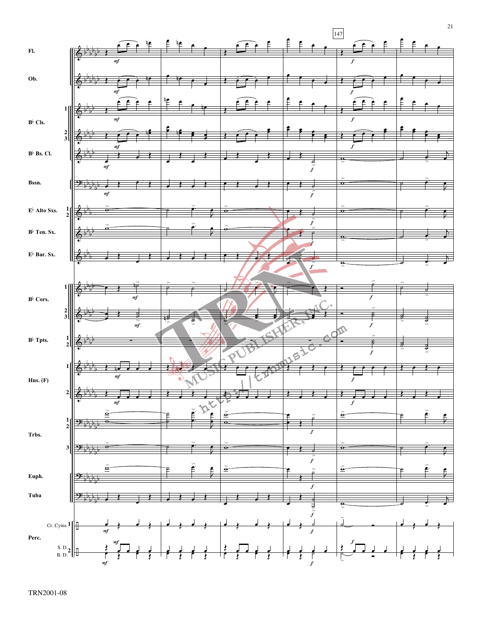147  ${\bf Fl.}$ Ob.  $1\vert$  $B^{\flat}$  Cls.  $\frac{2}{3}$  $B^{\flat}$  Bs. Cl. mf  $\tilde{\hat{f}}$ Bssn.  $\alpha$  $m$ f  $\mathbf{E}^\flat$  Alto Sxs. ┲  $\overline{f}$  $B^{\flat}$  Ten. Sx.  $\mathbf{E}^\flat$  Bar. Sx. 11  $\mathbf{B}^\flat$  Cors.  $\boldsymbol{m}$  $\frac{2}{3}$  $m f$  $B^{\flat}$  Tpts.  $\overline{2}$  $\boldsymbol{f}$ Ò  $\mathbf{1}$ Hns.  $(F)$  $\overline{2}$  $\mathfrak{m}$ f  $\overline{f}$  $\overline{\mathbf{o}}$ 1  $\overline{2}$ Trbs. Euph.  $\overline{f}$ Tuba  $Cr. Cyms. 1$  $m f$  $\overline{f}$ Perc.  $\begin{array}{c}\n\text{S. D.} \\
\text{B. D.}^2\n\end{array}$  $\int$  mf  $\star$ ₹ ₹